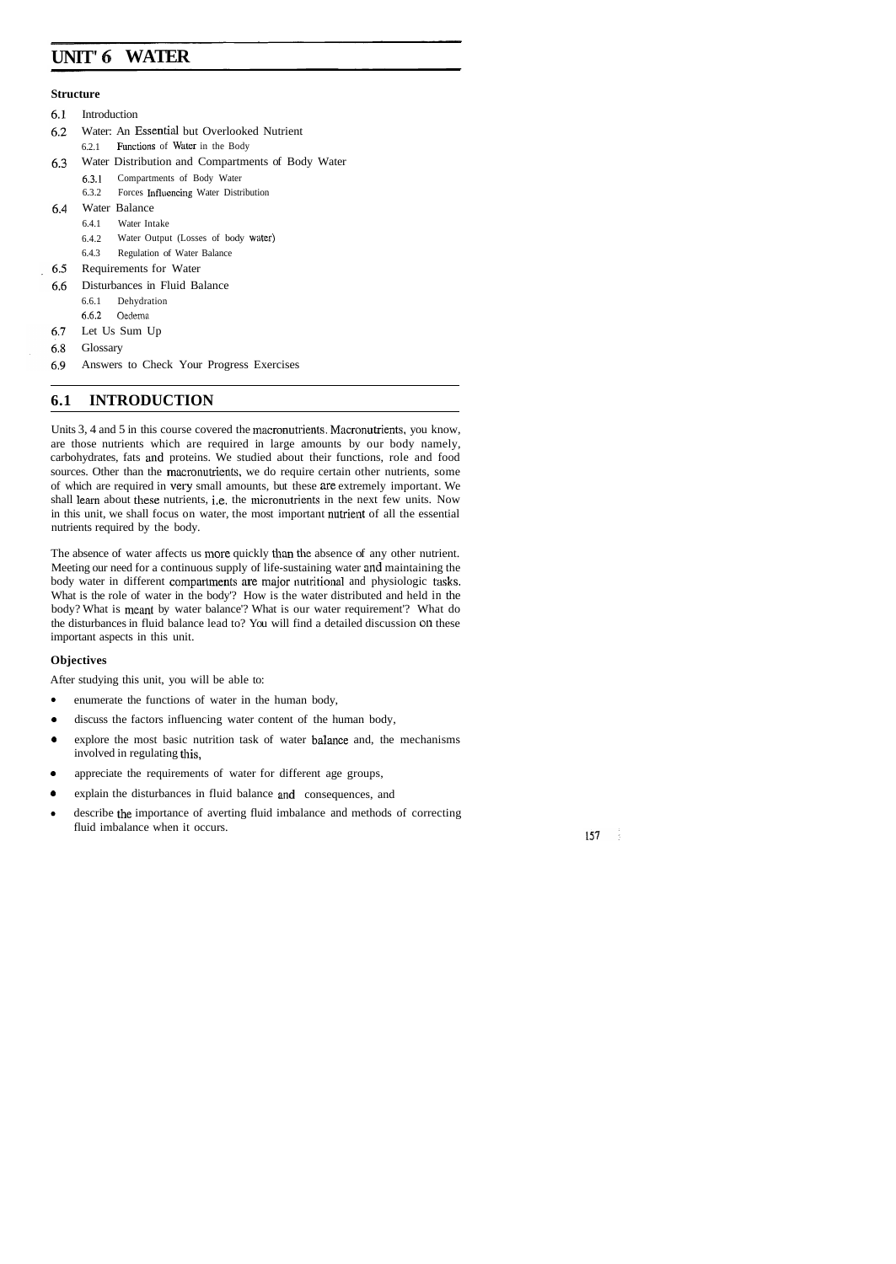# **UNIT' 6 WATER**

#### **Structure**

- $6.1$ Introduction
- Water: An Essential but Overlooked Nutrient 6.2
	- $6.2.1$  Functions of Water in the Body
- 6.3 Water Distribution and Compartments of Body Water
	- 6.3.1 Compartments of Body Water
	- 6.3.2 Forces Influencing Water Distribution
- Water Balance  $6.4$ 
	- 6.4.1 Water Intake
	- 6.4.2 Water Output (Losses of body water)
	- 6.4.3 Regulation of Water Balance
- 6.5 Requirements for Water
- 6.6 Disturbances in Fluid Balance
	- 6.6.1 Dehydration
	- 6.6.2 Oedema
- 6.7 Let Us Sum Up
- 6.8 Glossary
- 6.9 Answers to Check Your Progress Exercises

## **6.1 INTRODUCTION**

Units 3, 4 and 5 in this course covered the macronutrients. Macronutrients, you know, are those nutrients which are required in large amounts by our body namely, carbohydrates, fats and proteins. We studied about their functions, role and food sources. Other than the macronutrients, we do require certain other nutrients, some of which are required in very small amounts, but these are extremely important. We shall learn about these nutrients, i.e. the micronutrients in the next few units. Now in this unit, we shall focus on water, the most important nutrient of all the essential nutrients required by the body.

The absence of water affects us more quickly than the absence of any other nutrient. Meeting our need for a continuous supply of life-sustaining water and maintaining the body water in different compartments are major nutritional and physiologic tasks. What is the role of water in the body'? How is the water distributed and held in the body? What is meant by water balance'? What is our water requirement'? What do the disturbances in fluid balance lead to? You will find a detailed discussion **011** these important aspects in this unit.

#### **Objectives**

After studying this unit, you will be able to:

- $\bullet$ enumerate the functions of water in the human body,
- $\bullet$ discuss the factors influencing water content of the human body,
- $\bullet$ explore the most basic nutrition task of water balance and, the mechanisms involved in regulating this,
- appreciate the requirements of water for different age groups,  $\bullet$
- explain the disturbances in fluid balance and consequences, and
- describe the importance of averting fluid imbalance and methods of correcting  $\bullet$ fluid imbalance when it occurs.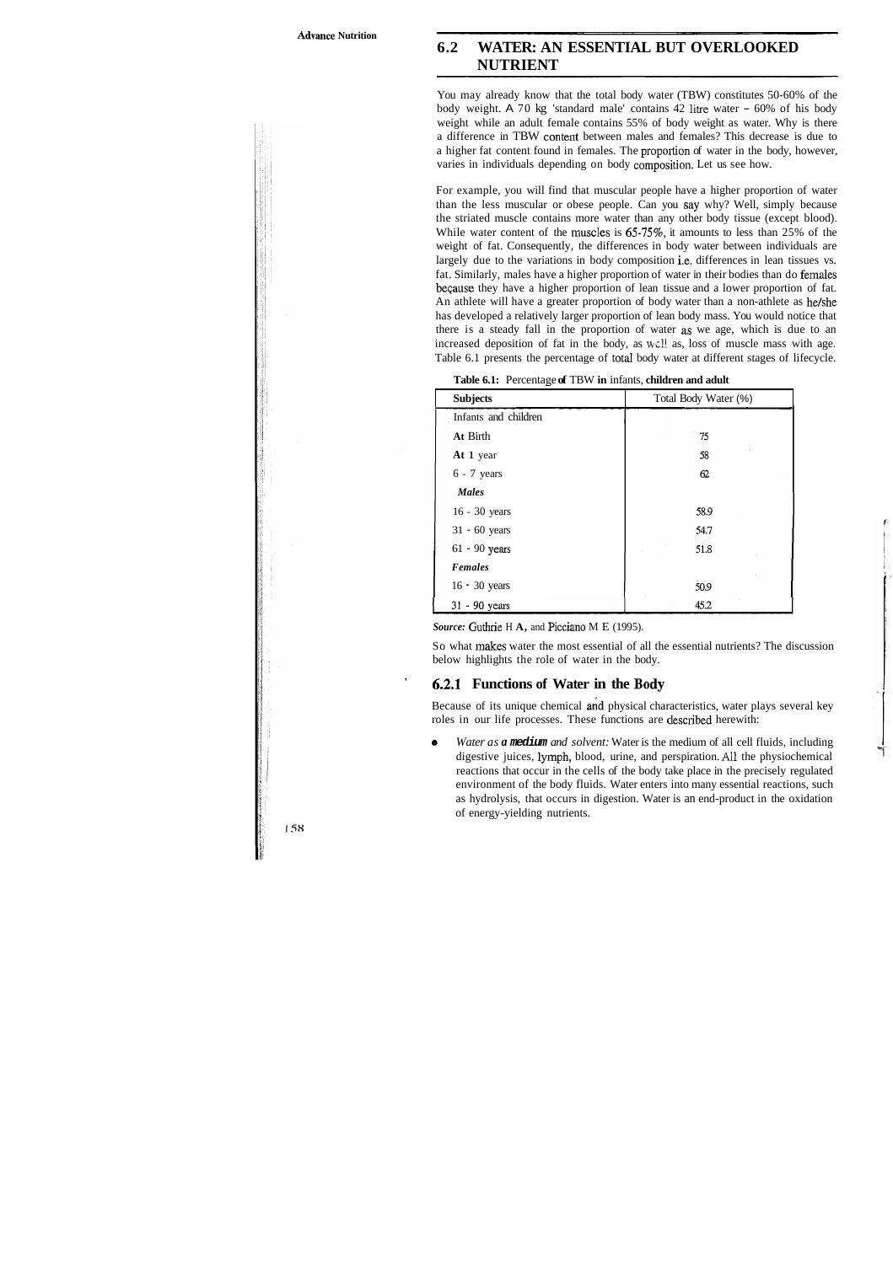## **6.2 WATER: AN ESSENTIAL BUT OVERLOOKED NUTRIENT**

You may already know that the total body water (TBW) constitutes 50-60% of the body weight. A 70 kg 'standard male' contains 42 litre water - 60% of his body weight while an adult female contains 55% of body weight as water. Why is there a difference in TBW content between males and females? This decrease is due to a higher fat content found in females. The proportion of water in the body, however, varies in individuals depending on body composition. Let us see how.

For example, you will find that muscular people have a higher proportion of water than the less muscular or obese people. Can you say why? Well, simply because the striated muscle contains more water than any other body tissue (except blood). While water content of the muscles is  $65-75\%$ , it amounts to less than 25% of the weight of fat. Consequently, the differences in body water between individuals are largely due to the variations in body composition i.e. differences in lean tissues vs. fat. Similarly, males have a higher proportion of water in their bodies than do females beqause they have a higher proportion of lean tissue and a lower proportion of fat. An athlete will have a greater proportion of body water than a non-athlete as he/she has developed a relatively larger proportion of lean body mass. You would notice that there is a steady fall in the proportion of water as we age, which is due to an increased deposition of fat in the body, as wcl! as, loss of muscle mass with age. Table 6.1 presents the percentage of total body water at different stages of lifecycle.

| <b>Subjects</b>      | Total Body Water (%) |
|----------------------|----------------------|
|                      |                      |
| Infants and children |                      |
| At Birth             | 75                   |
| At 1 year            | 58                   |
| $6 - 7$ years        | 62                   |
| <b>Males</b>         |                      |
| 16 - 30 years        | 58.9                 |
| $31 - 60$ years      | 54.7                 |
| $61 - 90$ years      | 51.8                 |
| <b>Females</b>       |                      |
| $16 - 30$ years      | 50.9                 |
| 31 - 90 years        | 45.2                 |

**Table 6.1:** Percentage **of** TBW **in** infants, **children and adult**  -

*Source:* Guthrie H **A,** and Picciano M E (1995).

So what makes water the most essential of all the essential nutrients? The discussion below highlights the role of water in the body.

### ' **6.2.1 Functions of Water in the Body**

Because of its unique chemical and physical characteristics, water plays several key roles in our life processes. These functions are described herewith:

*Water as a* **medium** *and solvent:* Water is the medium of all cell fluids, including digestive juices, lymph, blood, urine, and perspiration. All the physiochemical reactions that occur in the cells of the body take place in the precisely regulated environment of the body fluids. Water enters into many essential reactions, such as hydrolysis, that occurs in digestion. Water is an end-product in the oxidation of energy-yielding nutrients.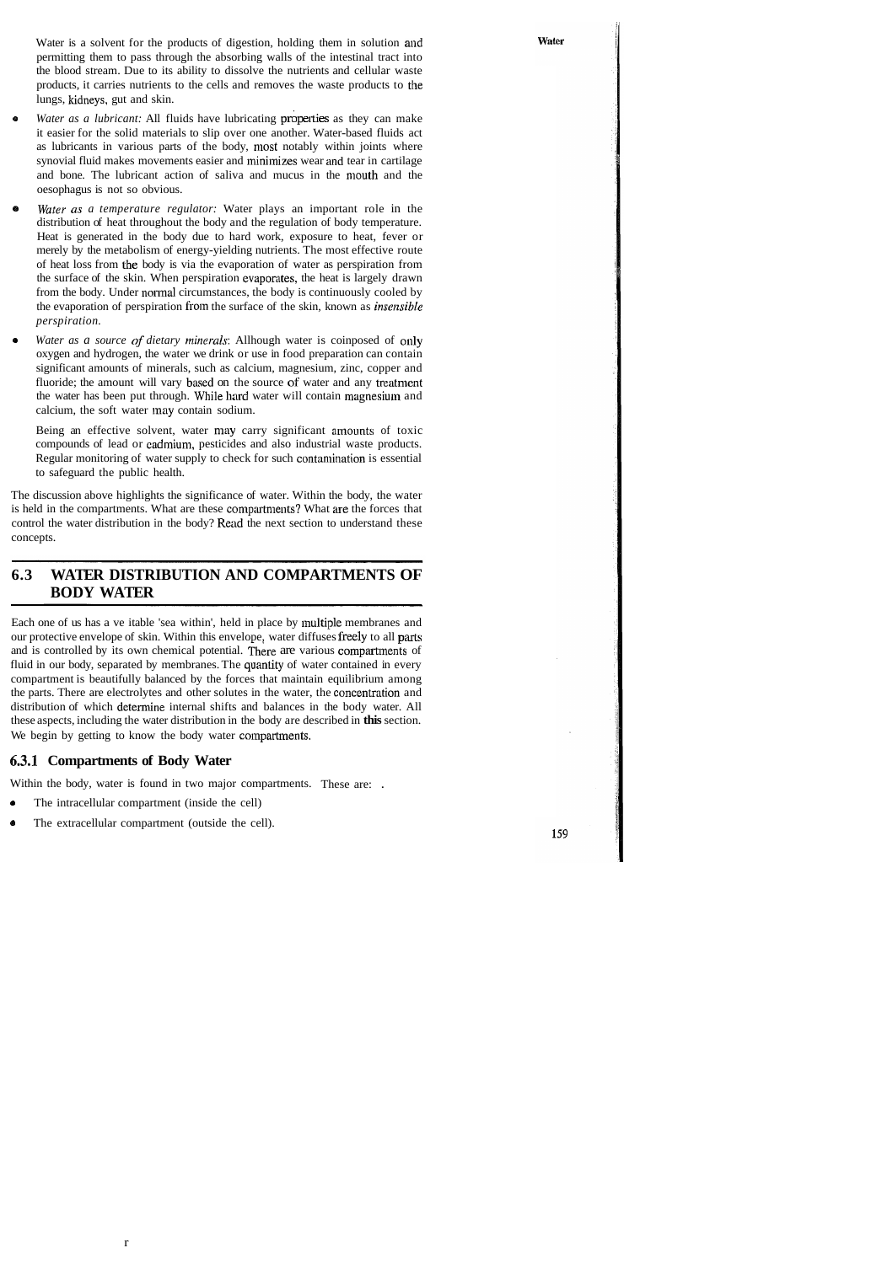Water is a solvent for the products of digestion, holding them in solution and permitting them to pass through the absorbing walls of the intestinal tract into the blood stream. Due to its ability to dissolve the nutrients and cellular waste products, it carries nutrients to the cells and removes the waste products to the lungs, kidneys, gut and skin.

- *Water as a lubricant:* All fluids have lubricating **properties** as they can make it easier for the solid materials to slip over one another. Water-based fluids act as lubricants in various parts of the body, most notably within joints where synovial fluid makes movements easier and minimizes wear and tear in cartilage and bone. The lubricant action of saliva and mucus in the mouth and the oesophagus is not so obvious.
- Water as a temperature regulator: Water plays an important role in the distribution of heat throughout the body and the regulation of body temperature. Heat is generated in the body due to hard work, exposure to heat, fever or merely by the metabolism of energy-yielding nutrients. The most effective route of heat loss from the body is via the evaporation of water as perspiration from the surface of the skin. When perspiration cvaporates, the heat is largely drawn from the body. Under normal circumstances, the body is continuously cooled by the evaporation of perspiration from the surface of the skin, known as *insensible perspiration.*
- *Water as a source of dietary minerals:* Allhough water is coinposed of only oxygen and hydrogen, the water we drink or use in food preparation can contain significant amounts of minerals, such as calcium, magnesium, zinc, copper and fluoride; the amount will vary based on the source of water and any treatment the water has been put through. While hard water will contain magnesium and calcium, the soft water inay contain sodium.

Being an effective solvent, water may carry significant amounts of toxic compounds of lead or cadmium, pesticides and also industrial waste products. Regular monitoring of water supply to check for such contamination is essential to safeguard the public health.

The discussion above highlights the significance of water. Within the body, the water is held in the compartments. What are these compartments? What are the forces that control the water distribution in the body? Read the next section to understand these concepts.

## **6.3 WATER DISTRIBUTION AND COMPARTMENTS OF BODY WATER**

Each one of us has a ve itable 'sea within', held in place by inultiple membranes and our protective envelope of skin. Within this envelope, water diffuses freely to all parts and is controlled by its own chemical potential. There are various compartments of fluid in our body, separated by membranes. The quantity of water contained in every compartment is beautifully balanced by the forces that maintain equilibrium among the parts. There are electrolytes and other solutes in the water, the concenlration and distribution of which determine internal shifts and balances in the body water. All these aspects, including the water distribution in the body are described in **this** section. We begin by getting to know the body water compartments.

### **6.3.1 Compartments of Body Water**

Within the body, water is found in two major compartments. These are: .

- The intracellular compartment (inside the cell)
- The extracellular compartment (outside the cell).  $\bullet$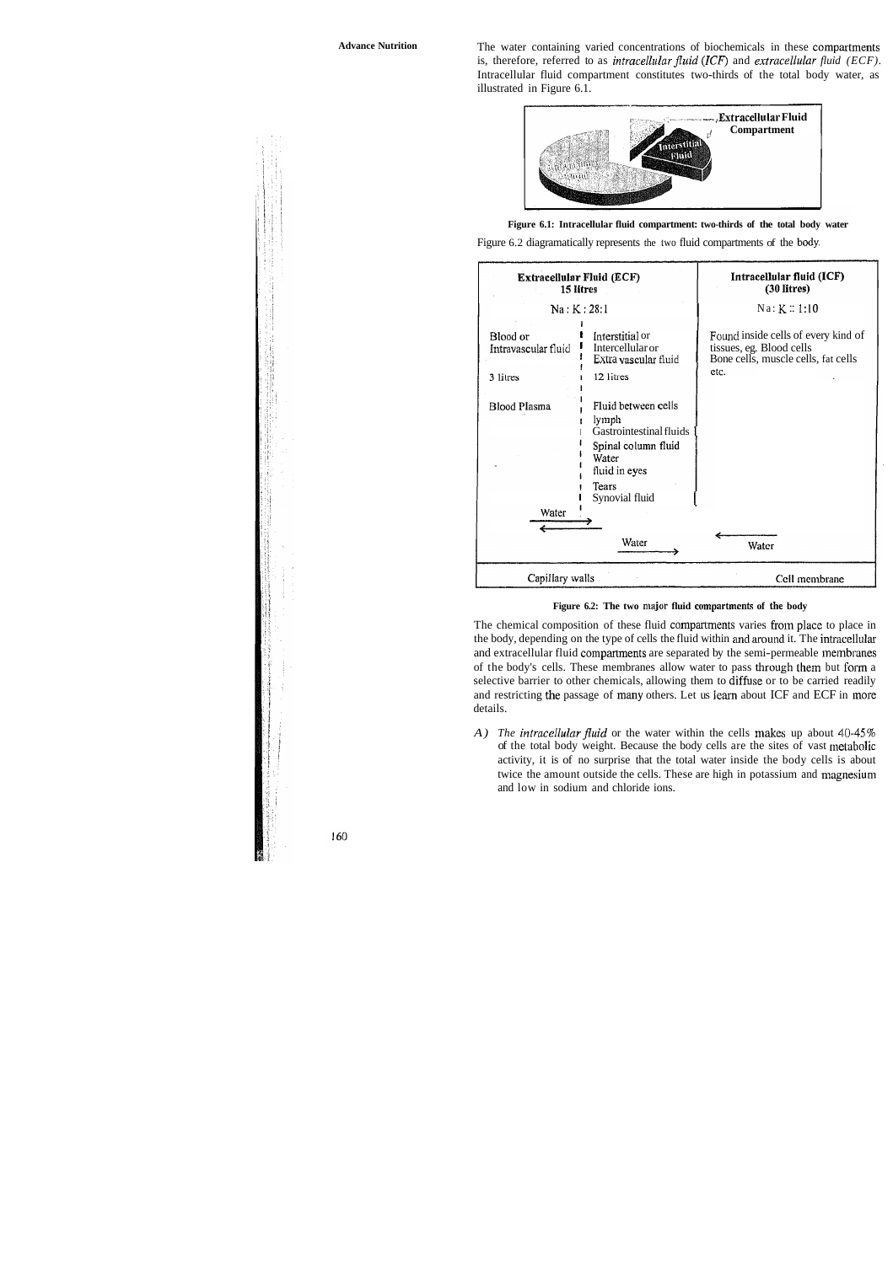**Advance Nutrition** The water containing varied concentrations of biochemicals in these compatments is, therefore, referred to as *intracellular fluid (ICF)* and *extracellular fluid (ECF)*. Intracellular fluid compartment constitutes two-thirds of the total body water, as illustrated in Figure 6.1.





Figure 6.2 diagramatically represents the two fluid compartments of the body.





The chemical composition of these fluid compartments varies from place to place in the body, depending on the type of cells the fluid within and around it. The intracellular and extracellular fluid compartments are separated by the semi-permeable inembranes of the body's cells. These membranes allow water to pass through them but form a selective barrier to other chemicals, allowing them to diffuse or to be carried readily and restricting the passage of many others. Let us learn about ICF and ECF in more details.

*A) The intracellular fluid* or the water within the cells makes up about 40-45% of the total body weight. Because the body cells are the sites of vast metabolic activity, it is of no surprise that the total water inside the body cells is about twice the amount outside the cells. These are high in potassium and magnesium and low in sodium and chloride ions.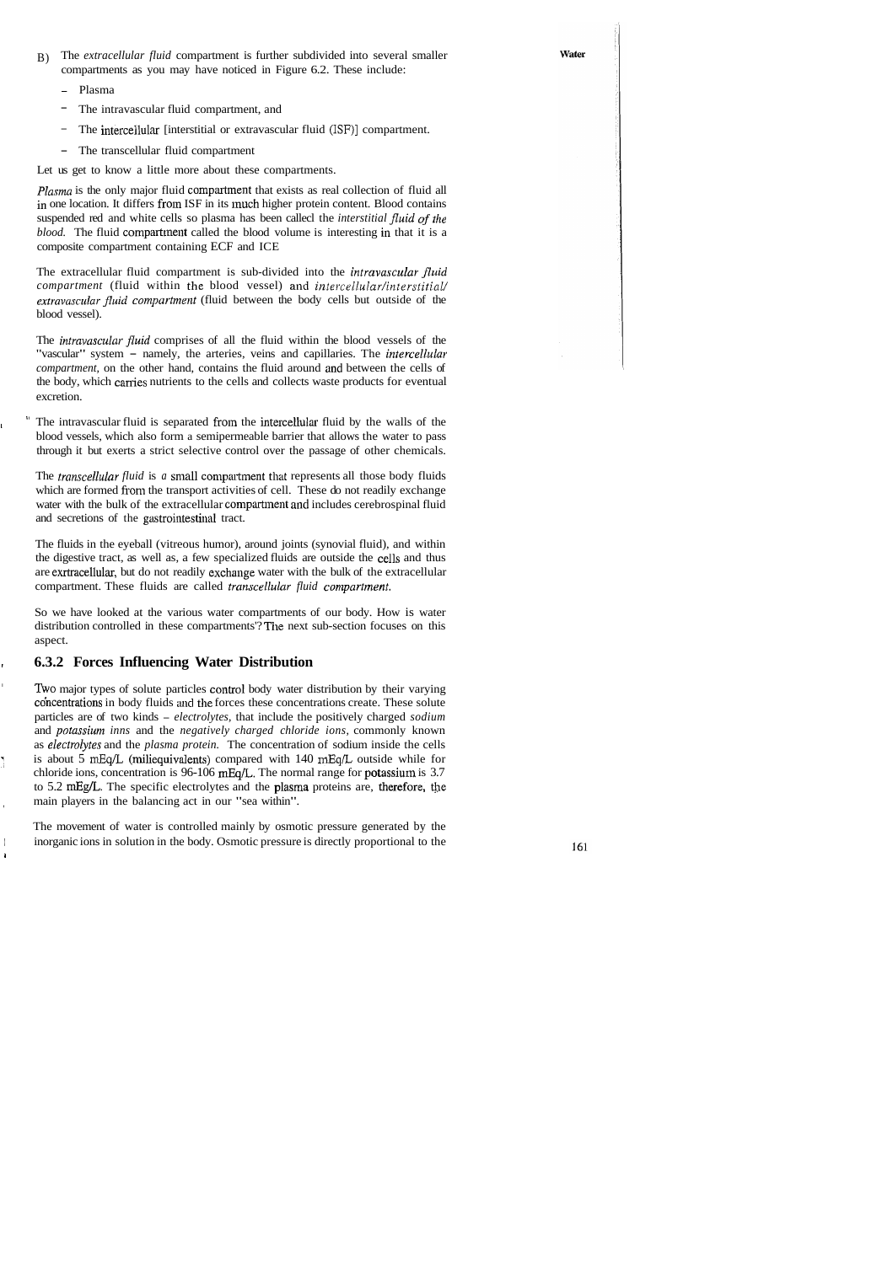- B) The *extracellular fluid* compartment is further subdivided into several smaller compartments as you may have noticed in Figure 6.2. These include:
	- Plasma
	- The intravascular fluid compartment, and
	- The intercellular [interstitial or extravascular fluid (ISF)] compartment.
	- The transcellular fluid compartment

Let us get to know a little more about these compartments.

*Plasma* is the only major fluid compartment that exists as real collection of fluid all in one location. It differs from ISF in its much higher protein content. Blood contains suspended red and white cells so plasma has been callecl the *interstitial fluid of the blood.* The fluid compartment called the blood volume is interesting in that it is a composite compartment containing ECF and ICE

The extracellular fluid compartment is sub-divided into the *intravascular fluid compartment* (fluid within the blood vessel) and *intercellular/interstitial/ extmvascular jluid compur'tment* (fluid between the body cells but outside of the blood vessel).

The *intravascular fluid* comprises of all the fluid within the blood vessels of the "vascular" system - namely, the arteries, veins and capillaries. The *intercellular compartment,* on the other hand, contains the fluid around and between the cells of the body, which carries nutrients to the cells and collects waste products for eventual excretion.

The intravascular fluid is separated from the intercellular fluid by the walls of the blood vessels, which also form a semipermeable barrier that allows the water to pass through it but exerts a strict selective control over the passage of other chemicals.

The *transcellular fluid* is *a* small compartment that represents all those body fluids which are formed from the transport activities of cell. These do not readily exchange water with the bulk of the extracellular compartment and includes cerebrospinal fluid and secretions of the gastrointestinal tract.

The fluids in the eyeball (vitreous humor), around joints (synovial fluid), and within the digestive tract, as well as, a few specialized fluids are outside the cclls and thus are exrtracellular, but do not readily exchange water with the bulk of the extracellular compartment. These fluids are called *transcellular fluid compartment*.

So we have looked at the various water compartments of our body. How is water distribution controlled in these compartments'? The next sub-section focuses on this aspect.

#### <sup>I</sup>**6.3.2 Forces Influencing Water Distribution**

Two major types of solute particles control body water distribution by their varying concentrations in body fluids and the forces these concentrations create. These solute particles are of two kinds - *electrolytes,* that include the positively charged *sodium*  and *potassium inns* and the *negatively charged chloride ions*, commonly known as *electrolytes* and the *plasma protein*. The concentration of sodium inside the cells : is about 5 **mEq/L** (miliequivalents) compared with 140 mEqL outside while for chloride ions, concentration is  $96-106$  mEq/L. The normal range for potassium is 3.7 to 5.2 mEg/L. The specific electrolytes and the plasma proteins are, therefore, the main players in the balancing act in our "sea within".

The movement of water is controlled mainly by osmotic pressure generated by the inorganic ions in solution in the body. Osmotic pressure is directly proportional to the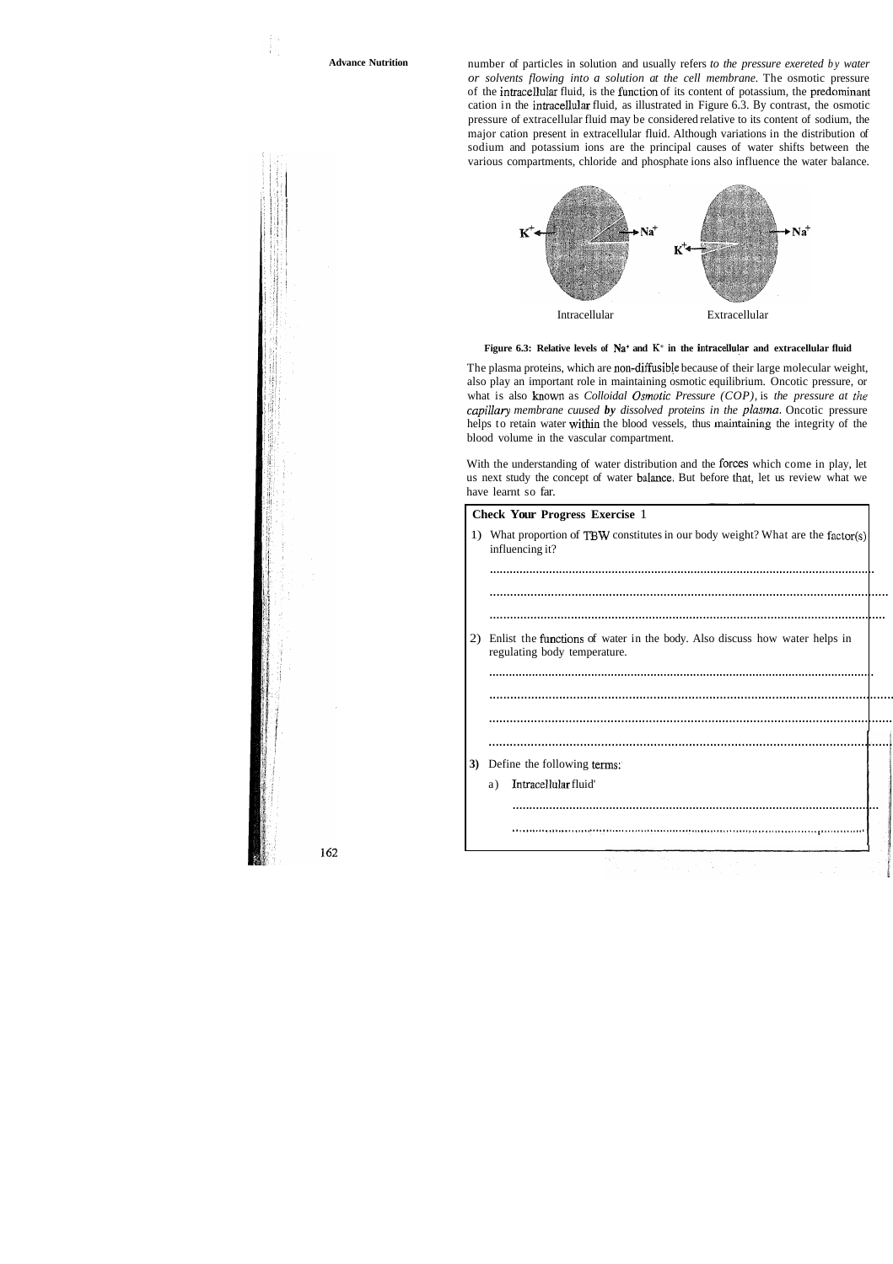**Advance Nutrition** number of particles in solution and usually refers *to the pressure exereted by water or solvents flowing into a solution at the cell membrane.* The osmotic pressure of the intracellular fluid, is the function of its content of potassium, the predominant cation in the intracellular fluid, as illustrated in Figure 6.3. By contrast, the osmotic pressure of extracellular fluid may be considered relative to its content of sodium, the major cation present in extracellular fluid. Although variations in the distribution of sodium and potassium ions are the principal causes of water shifts between the various compartments, chloride and phosphate ions also influence the water balance.





The plasma proteins, which are non-diffusible because of their large molecular weight, also play an important role in maintaining osmotic equilibrium. Oncotic pressure, or what is also known as *Colloidal Osmolic Pressure (COP),* is *the pressure at the capillary membrane cuused by dissolved proteins in the plasma.* Oncotic pressure helps to retain water within the blood vessels, thus maintaining the integrity of the blood volume in the vascular compartment.

With the understanding of water distribution and the forces which come in play, let us next study the concept of water balance. But before that, let us review what we have learnt so far.

|    | <b>Check Your Progress Exercise 1</b>                                                                      |  |
|----|------------------------------------------------------------------------------------------------------------|--|
|    | 1) What proportion of TBW constitutes in our body weight? What are the factor(s)<br>influencing it?        |  |
|    |                                                                                                            |  |
|    |                                                                                                            |  |
|    |                                                                                                            |  |
| 2) | Enlist the functions of water in the body. Also discuss how water helps in<br>regulating body temperature. |  |
|    |                                                                                                            |  |
|    |                                                                                                            |  |
|    |                                                                                                            |  |
|    |                                                                                                            |  |
|    |                                                                                                            |  |
| 3) | Define the following terms:                                                                                |  |
|    | Intracellular fluid'<br>a)                                                                                 |  |
|    |                                                                                                            |  |
|    |                                                                                                            |  |
|    |                                                                                                            |  |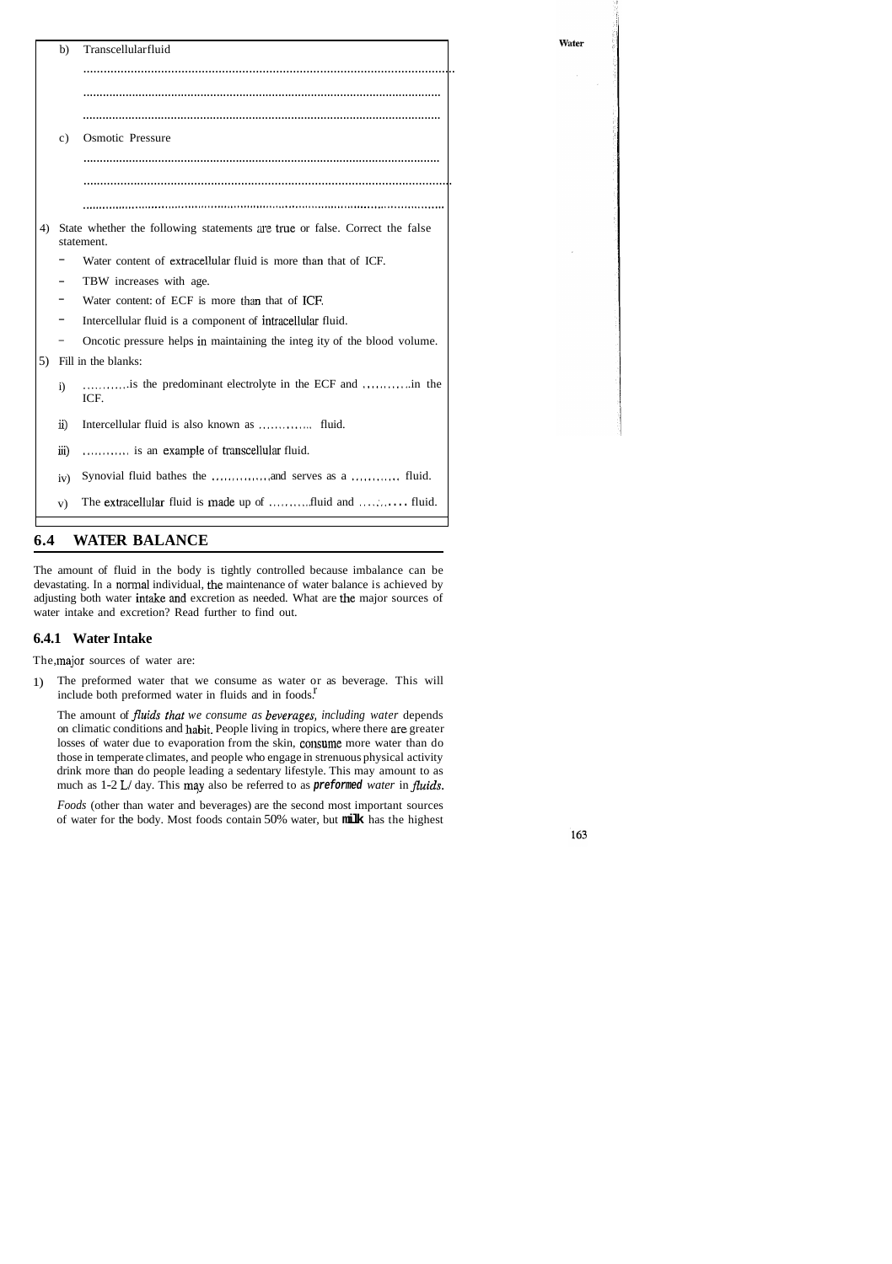| b)     | Transcellularfluid                                                                           | Water |
|--------|----------------------------------------------------------------------------------------------|-------|
|        |                                                                                              |       |
|        |                                                                                              |       |
|        |                                                                                              |       |
| C)     | <b>Osmotic Pressure</b>                                                                      |       |
|        |                                                                                              |       |
|        |                                                                                              |       |
|        |                                                                                              |       |
|        | 4) State whether the following statements are true or false. Correct the false<br>statement. |       |
|        | Water content of extracellular fluid is more than that of ICF.                               |       |
|        | TBW increases with age.                                                                      |       |
|        | Water content: of ECF is more than that of ICF.                                              |       |
|        | Intercellular fluid is a component of intracellular fluid.                                   |       |
|        | Oncotic pressure helps in maintaining the integ ity of the blood volume.                     |       |
|        | 5) Fill in the blanks:                                                                       |       |
| i)     | ICF.                                                                                         |       |
| ii)    |                                                                                              |       |
| -111 ) | is an example of transcellular fluid.                                                        |       |
| iv)    |                                                                                              |       |
| V)     | The extracellular fluid is made up of fluid and  fluid.                                      |       |

## **6.4 WATER BALANCE**

The amount of fluid in the body is tightly controlled because imbalance can be devastating. In a normal individual, the maintenance of water balance is achieved by adjusting both water intake and excretion as needed. What are the major sources of water intake and excretion? Read further to find out.

#### **6.4.1 Water Intake**

The, major sources of water are:

include both preformed water in fluids and in foods.<sup>*r*</sup> 1) The preformed water that we consume as water or as beverage. This will

The amount of *fluids that we consume as beverages*, *including water depends* on climatic conditions and habit. People living in tropics, where there are greater losses of water due to evaporation from the skin, consume more water than do those in temperate climates, and people who engage in strenuous physical activity drink more than do people leading a sedentary lifestyle. This may amount to as much as 1-2 L/ day. This may also be referred to as **preformed** water in *fluids*.

*Foods* (other than water and beverages) are the second most important sources of water for the body. Most foods contain 50% water, but **milk** has the highest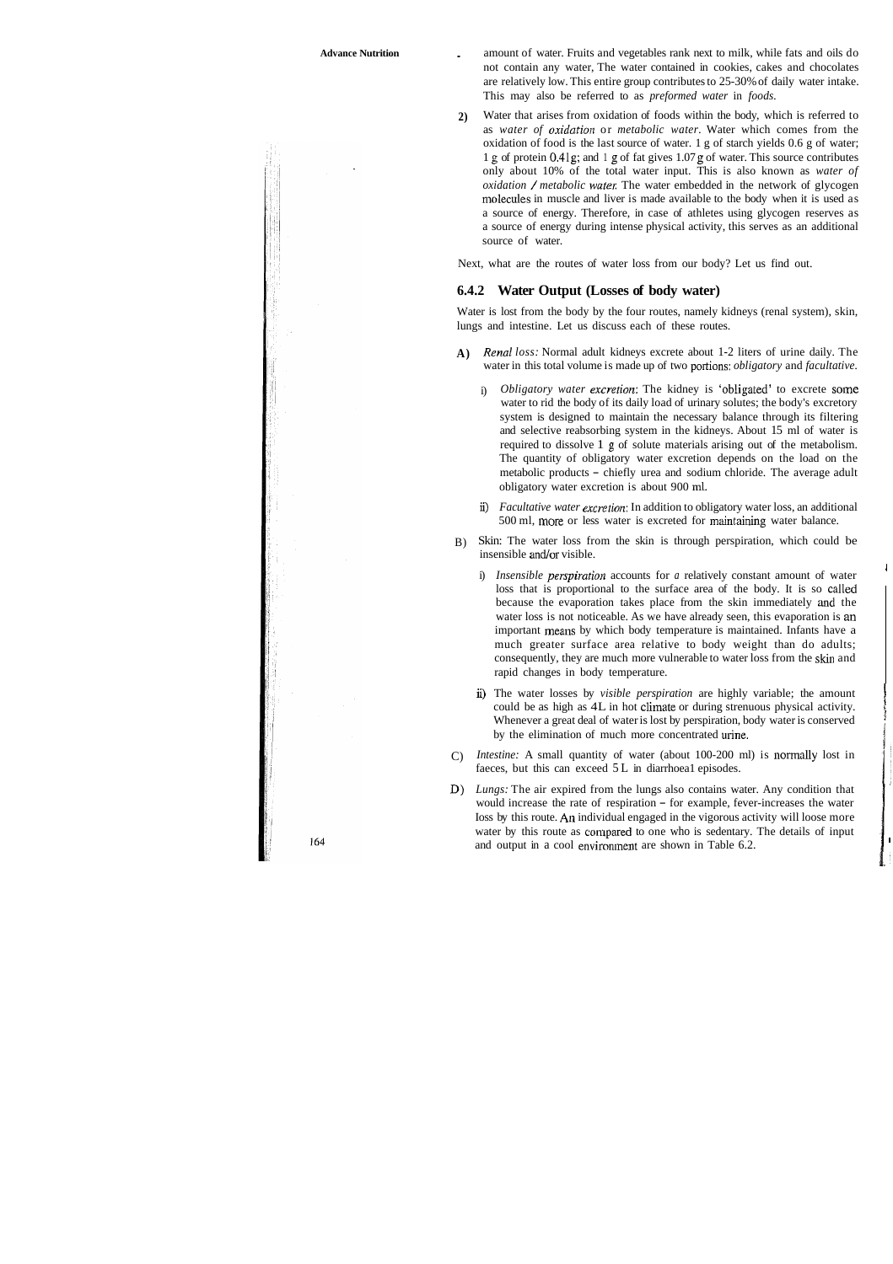**Advance Nutrition** . amount of water. Fruits and vegetables rank next to milk, while fats and oils do not contain any water, The water contained in cookies, cakes and chocolates are relatively low. This entire group contributes to 25-30% of daily water intake. This may also be referred to as *preformed water* in *foods.* 

> **2)** Water that arises from oxidation of foods within the body, which is referred to as *water of oxidation* or *metabolic water*. Water which comes from the oxidation of food is the last source of water. 1 g of starch yields 0.6 g of water; 1 g of protein 0.41g; and 1 g of fat gives 1.07 g of water. This source contributes only about 10% of the total water input. This is also known as *water of oxidation / metabolic water*. The water embedded in the network of glycogen molecules in muscle and liver is made available to the body when it is used as a source of energy. Therefore, in case of athletes using glycogen reserves as a source of energy during intense physical activity, this serves as an additional source of water.

Next, what are the routes of water loss from our body? Let us find out.

#### **6.4.2 Water Output (Losses of body water)**

Water is lost from the body by the four routes, namely kidneys (renal system), skin, lungs and intestine. Let us discuss each of these routes.

- **A)** *Renal loss:* Normal adult kidneys excrete about 1-2 liters of urine daily. The water in this total volume is made up of two portions: *obligatory* and *facultative.* 
	- i) *Obligatory water excretion:* The kidney is 'obligated' to excrete some water to rid the body of its daily load of urinary solutes; the body's excretory system is designed to maintain the necessary balance through its filtering and selective reabsorbing system in the kidneys. About 15 ml of water is required to dissolve 1 g of solute materials arising out of the metabolism. The quantity of obligatory water excretion depends on the load on the metabolic products - chiefly urea and sodium chloride. The average adult obligatory water excretion is about 900 ml.
	- ii) *Facultative water excretion*: In addition to obligatory water loss, an additional 500 ml, more or less water is excreted for maintaining water balance.
- B) Skin: The water loss from the skin is through perspiration, which could be insensible and/or visible.
	- i) *Insensible perspiration* accounts for *a* relatively constant amount of water loss that is proportional to the surface area of the body. It is so called because the evaporation takes place from the skin immediately and the water loss is not noticeable. As we have already seen, this evaporation is an important means by which body temperature is maintained. Infants have a much greater surface area relative to body weight than do adults; consequently, they are much more vulnerable to water loss from the skin and rapid changes in body temperature.
	- ii) The water losses by *visible perspiration* are highly variable; the amount could be as high as 4L in hot climate or during strenuous physical activity. Whenever a great deal of water is lost by perspiration, body water is conserved by the elimination of much more concentrated urine.
- C) *Intestine:* A small quantity of water (about 100-200 ml) is normally lost in faeces, but this can exceed 5 L in diarrhoea1 episodes.
- D) *Lungs:* The air expired from the lungs also contains water. Any condition that would increase the rate of respiration – for example, fever-increases the water Ioss by this route. An individual engaged in the vigorous activity will loose more water by this route as compared to one who is sedentary. The details of input and output in a cool environment are shown in Table 6.2.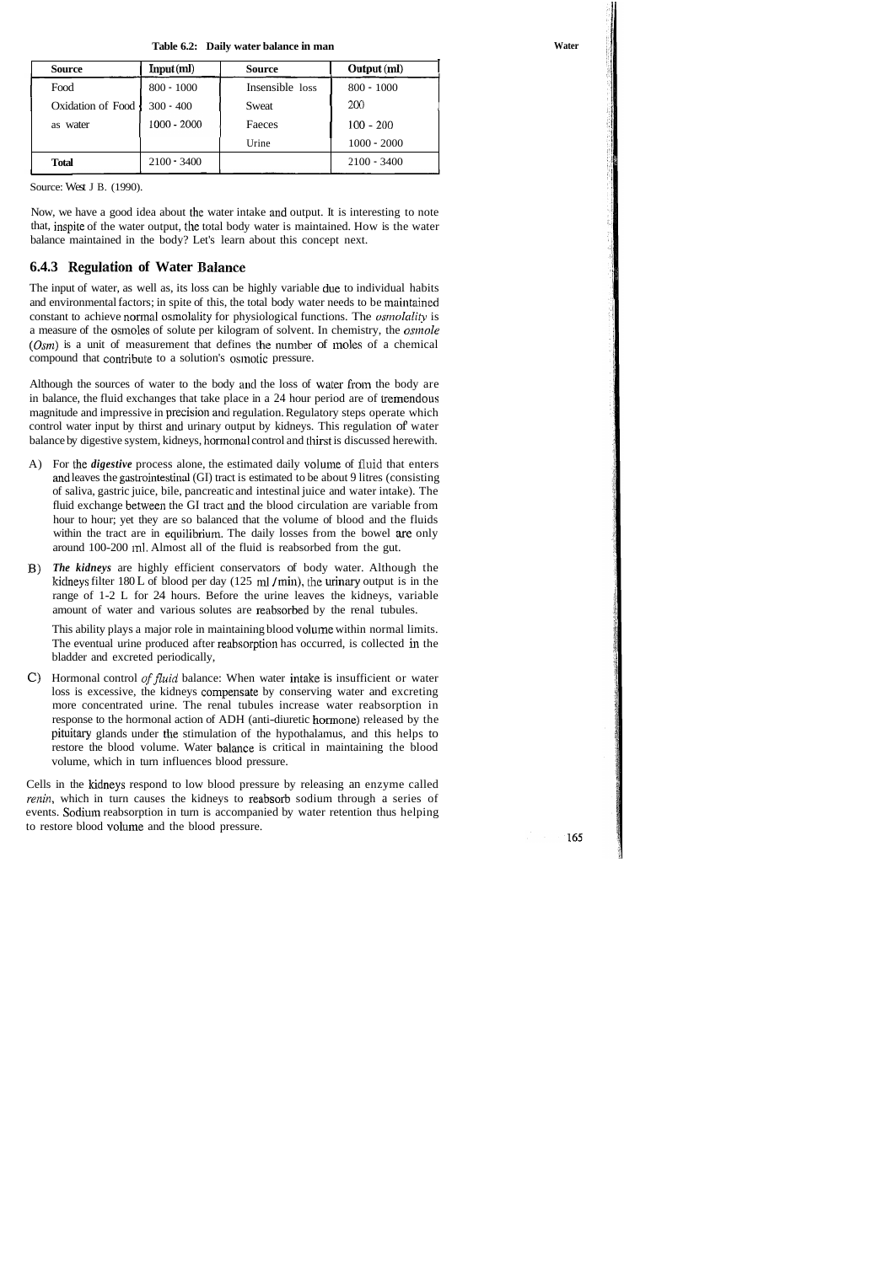**Table 6.2: Daily water balance in man** 

| <b>Source</b>     | Input(ml)     | <b>Source</b>   | Output (ml)   |
|-------------------|---------------|-----------------|---------------|
| Food              | $800 - 1000$  | Insensible loss | $800 - 1000$  |
| Oxidation of Food | $300 - 400$   | Sweat           | <b>200</b>    |
| as water          | 1000 - 2000   | Faeces          | $100 - 200$   |
|                   |               | Urine           | $1000 - 2000$ |
| <b>Total</b>      | $2100 - 3400$ |                 | $2100 - 3400$ |

Now, we have a good idea about the water intake and output. It is interesting to note that, inspite of the water output, the total body water is maintained. How is the water balance maintained in the body? Let's learn about this concept next.

## **6.4.3 Regulation of Water Balance**

The input of water, as well as, its loss can be highly variable due to individual habits and environmental factors; in spite of this, the total body water needs to be maintained constant to achieve normal osmolality for physiological functions. The *osmolality* is a measure of the osmoles of solute per kilogram of solvent. In chemistry, the *osmole*  $(Osm)$  is a unit of measurement that defines the number of moles of a chemical compound that contribute to a solution's osimotic pressure.

Although the sources of water to the body and the loss of water from the body are in balance, the fluid exchanges that take place in a  $24$  hour period are of tremendous magnitude and impressive in precision and regulation. Regulatory steps operate which control water input by thirst and urinary output by kidneys. This regulation of' water balance by digestive system, kidneys, honnonal control and thirst is discussed herewith.

- A) For the *digestive* process alone, the estimated daily volume of fluid that enters and leaves the gastrointestinal (GI) tract is estimated to be about 9 litres (consisting of saliva, gastric juice, bile, pancreatic and intestinal juice and water intake). The fluid exchange between the GI tract and the blood circulation are variable from hour to hour; yet they are so balanced that the volume of blood and the fluids within the tract are in equilibrium. The daily losses from the bowel are only around 100-200 ml. Almost all of the fluid is reabsorbed from the gut.
- B) *The kidneys* are highly efficient conservators of body water. Although the kidneys filter  $180 L$  of blood per day (125 ml / min), the urinary output is in the range of 1-2 L for 24 hours. Before the urine leaves the kidneys, variable amount of water and various solutes are reabsorbed by the renal tubules.

This ability plays a major role in maintaining blood volurne within normal limits. The eventual urine produced after reabsorption has occurred, is collected in the bladder and excreted periodically,

C) Hormonal control *of fluid* balance: When water intake is insufficient or water loss is excessive, the kidneys compensate by conserving water and excreting more concentrated urine. The renal tubules increase water reabsorption in response to the hormonal action of ADH (anti-diuretic hormone) released by the pituitaty glands under the stimulation of the hypothalamus, and this helps to restore the blood volume. Water balance is critical in maintaining the blood volume, which in turn influences blood pressure.

Cells in the kidneys respond to low blood pressure by releasing an enzyme called *renin*, which in turn causes the kidneys to reabsorb sodium through a series of events. Sodium reabsorption in turn is accompanied by water retention thus helping to restore blood volume and the blood pressure.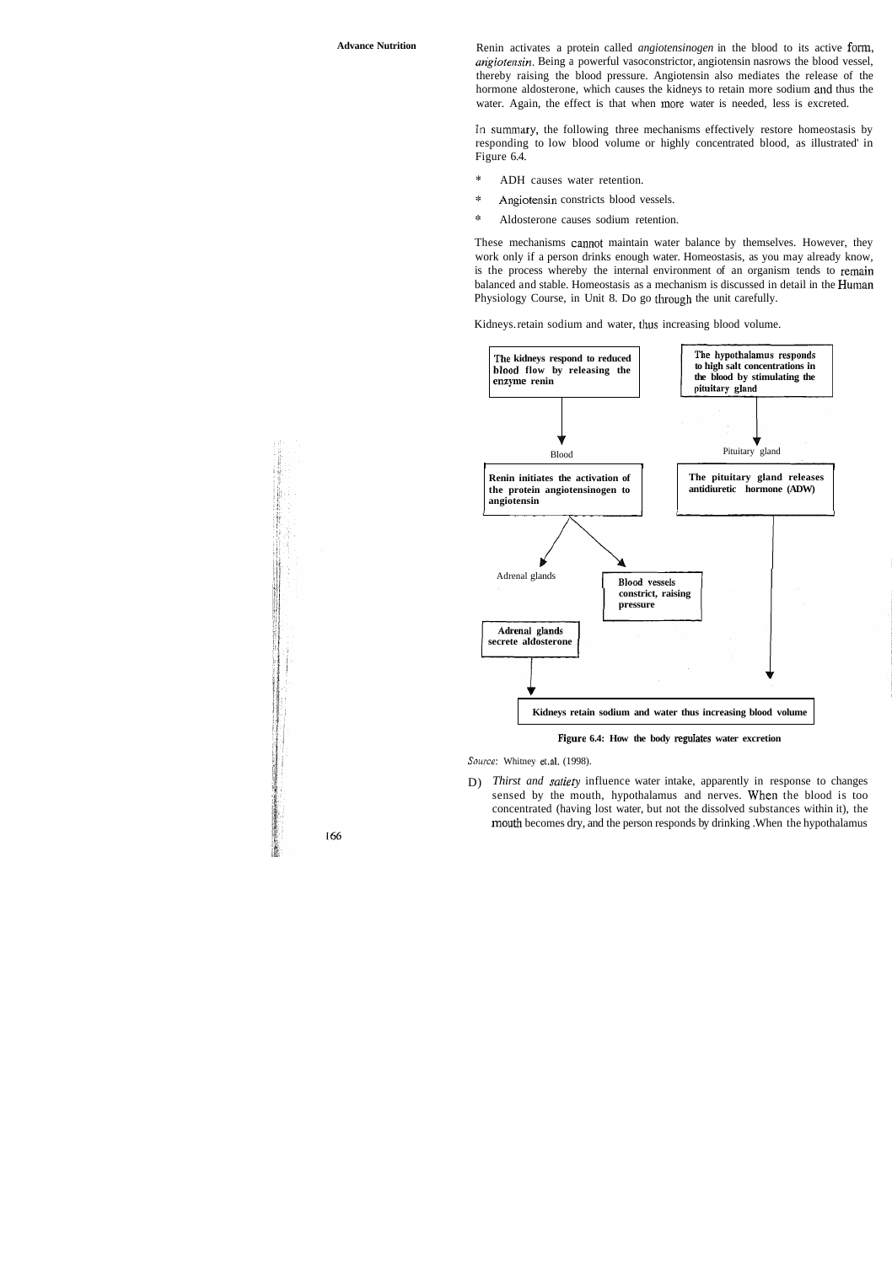Advance Nutrition **Rening activates** a protein called *angiotensinogen* in the blood to its active form, *angiotensin.* Being a powerful vasoconstrictor, angiotensin nasrows the blood vessel, thereby raising the blood pressure. Angiotensin also mediates the release of the hormone aldosterone, which causes the kidneys to retain more sodium and thus the water. Again, the effect is that when more water is needed, less is excreted.

> In summary, the following three mechanisms effectively restore homeostasis by responding to low blood volume or highly concentrated blood, as illustrated' in Figure 6.4.

- \* ADH causes water retention.
- \* Angiotensin constricts blood vessels.
- $\mathbb{R}^2$ Aldosterone causes sodium retention.

These mechanisms cannot maintain water balance by themselves. However, they work only if a person drinks enough water. Homeostasis, as you may already know, is the process whereby the internal environment of an organism tends to remain balanced and stable. Homeostasis as a mechanism is discussed in detail in the Human Physiology Course, in Unit 8. Do go through the unit carefully.

Kidneys. retain sodium and water, thus increasing blood volume.



**Figure 6.4: How the body regdates water excretion** 

Source: Whitney et.al. (1998).

D) *Thirst and saliety* influence water intake, apparently in response to changes sensed by the mouth, hypothalamus and nerves. When the blood is too concentrated (having lost water, but not the dissolved substances within it), the mouth becomes dry, and the person responds by drinking. When the hypothalamus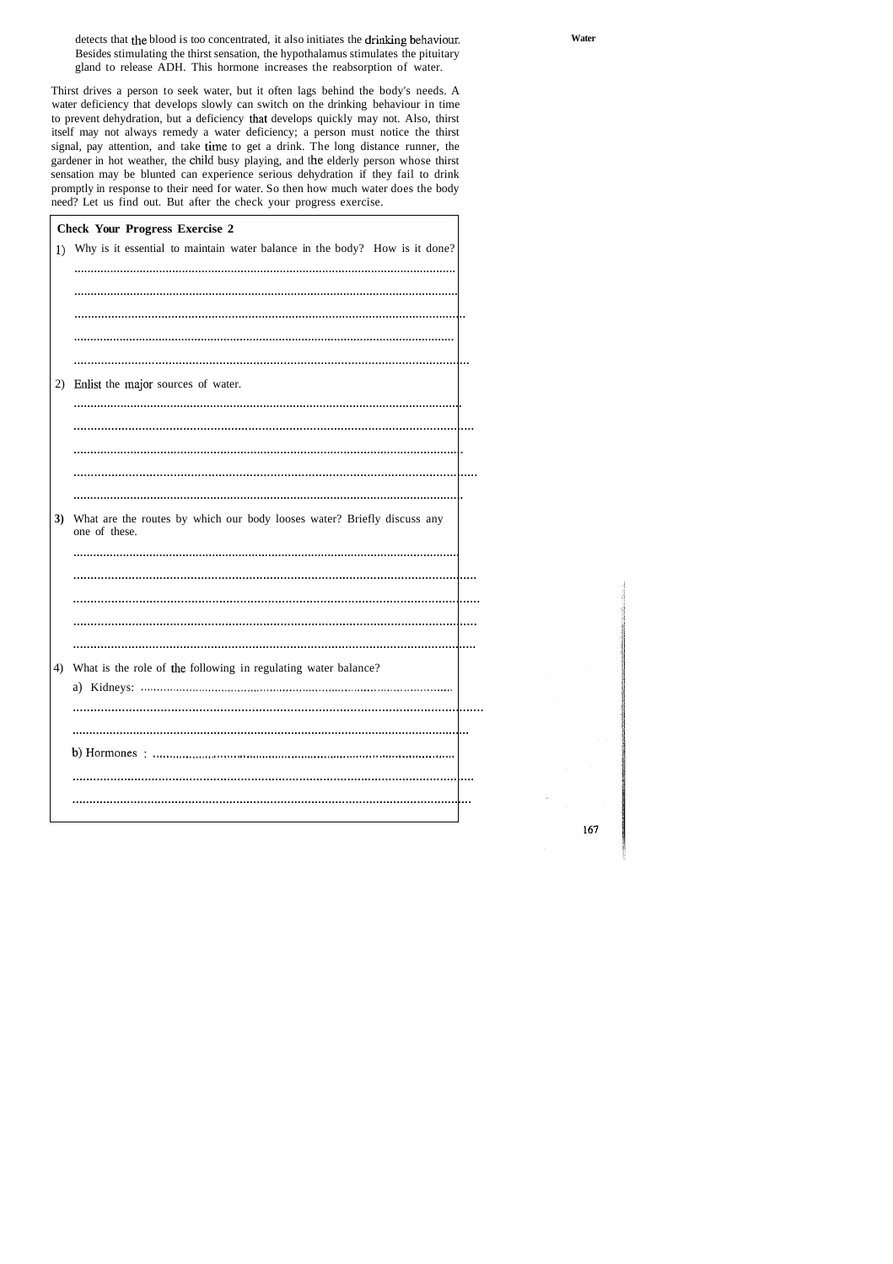detects that the blood is too concentrated, it also initiates the drinking behaviour. Besides stimulating the thirst sensation, the hypothalamus stimulates the pituitary gland to release ADH. This hormone increases the reabsorption of water.

Thirst drives a person to seek water, but it often lags behind the body's needs. A water deficiency that develops slowly can switch on the drinking behaviour in time to prevent dehydration, but a deficiency that develops quickly may not. Also, thirst itself may not always remedy a water deficiency; a person must notice the thirst signal, pay attention, and take time to get a drink. The long distance runner, the gardener in hot weather, the child busy playing, and the elderly person whose thirst sensation may be blunted can experience serious dehydration if they fail to drink promptly in response to their need for water. So then how much water does the body need? Let us find out. But after the check your progress exercise.

 $\overline{\Gamma}$ 

|    | <b>Check Your Progress Exercise 2</b>                                                    |  |
|----|------------------------------------------------------------------------------------------|--|
| 1) | Why is it essential to maintain water balance in the body? How is it done?               |  |
|    |                                                                                          |  |
|    |                                                                                          |  |
|    |                                                                                          |  |
|    |                                                                                          |  |
|    |                                                                                          |  |
| 2) | Enlist the major sources of water.                                                       |  |
|    |                                                                                          |  |
|    |                                                                                          |  |
|    |                                                                                          |  |
|    |                                                                                          |  |
|    |                                                                                          |  |
| 3) | What are the routes by which our body looses water? Briefly discuss any<br>one of these. |  |
|    |                                                                                          |  |
|    |                                                                                          |  |
|    |                                                                                          |  |
|    |                                                                                          |  |
|    |                                                                                          |  |
| 4) | What is the role of the following in regulating water balance?                           |  |
|    |                                                                                          |  |
|    |                                                                                          |  |
|    |                                                                                          |  |
|    |                                                                                          |  |
|    |                                                                                          |  |
|    |                                                                                          |  |
|    |                                                                                          |  |

٦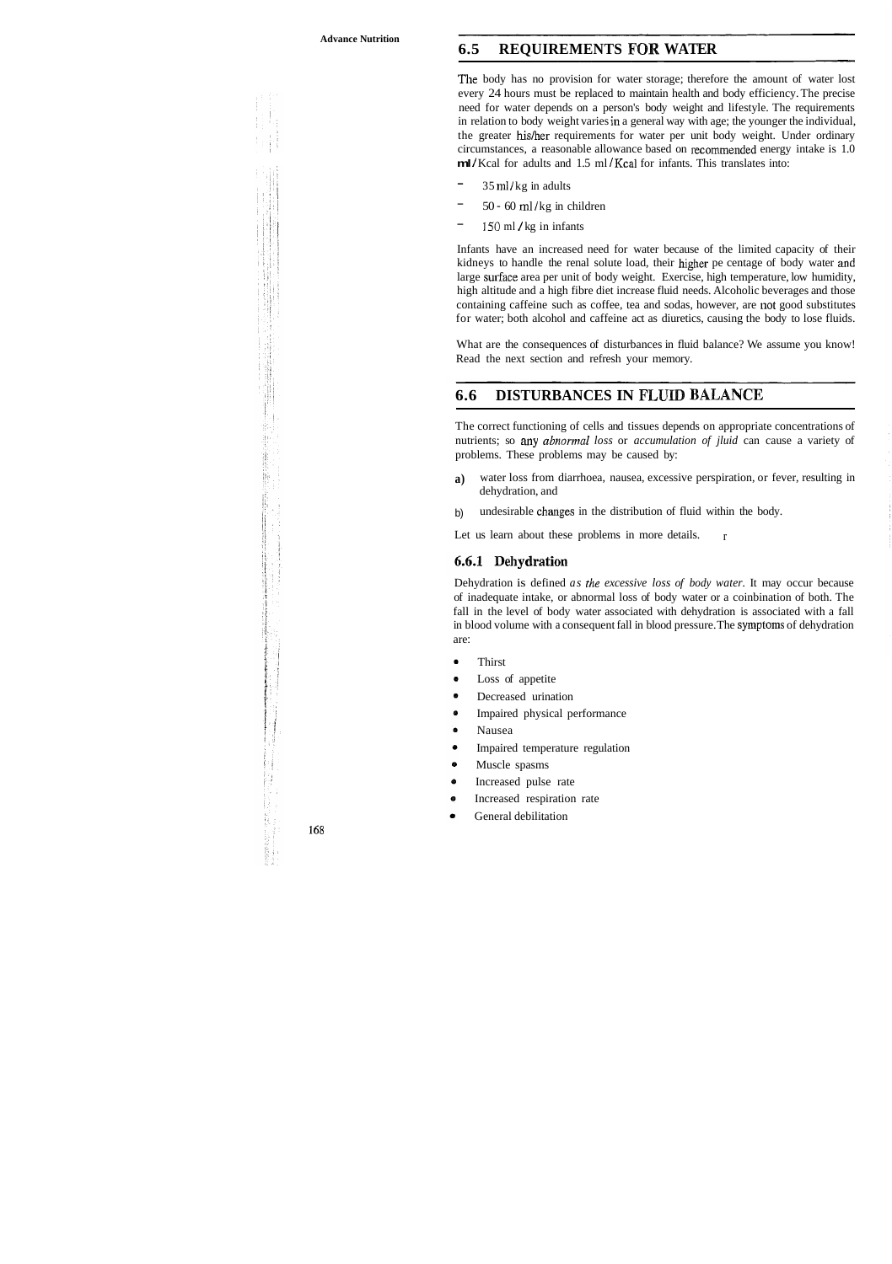## **6.5 REQUIREMENTS FOR WATER**

The body has no provision for water storage; therefore the amount of water lost every 24 hours must be replaced to maintain health and body efficiency. The precise need for water depends on a person's body weight and lifestyle. The requirements in relation to body weight varies in a general way with age; the younger the individual, the greater hislher requirements for water per unit body weight. Under ordinary circumstances, a reasonable allowance based on recommended energy intake is 1.0 **ml** */* Kcal for adults and 1.5 ml */* Kcal for infants. This translates into:

- $35$  ml/kg in adults
- $50 60$  ml/kg in children
- $150$  ml / kg in infants

Infants have an increased need for water because of the limited capacity of their kidneys to handle the renal solute load, their higher pe centage of body water and large surface area per unit of body weight. Exercise, high temperature, low humidity, high altitude and a high fibre diet increase fluid needs. Alcoholic beverages and those containing caffeine such as coffee, tea and sodas, however, are not good substitutes for water; both alcohol and caffeine act as diuretics, causing the body to lose fluids.

What are the consequences of disturbances in fluid balance? We assume you know! Read the next section and refresh your memory.

## **6.6 DISTURBANCES IN FLllTID BAJANCE**

The correct functioning of cells and tissues depends on appropriate concentrations of nutrients; so any *abnormal loss* or *accumulation of jluid* can cause a variety of problems. These problems may be caused by:

- **a)** water loss from diarrhoea, nausea, excessive perspiration, or fever, resulting in dehydration, and
- b) undesirable changes in the distribution of fluid within the body.

r Let us learn about these problems in more details.

#### 6.6.1 Dehydration

Dehydration is defined *as the excessive loss of body water.* It may occur because of inadequate intake, or abnormal loss of body water or a coinbination of both. The fall in the level of body water associated with dehydration is associated with a fall in blood volume with a consequent fall in blood pressure. The symptoms of dehydration are :

- Thirst
- Loss of appetite
- Decreased urination
- Impaired physical performance
- Nausea
- Impaired temperature regulation
- Muscle spasms
- Increased pulse rate
- Increased respiration rate
- General debilitation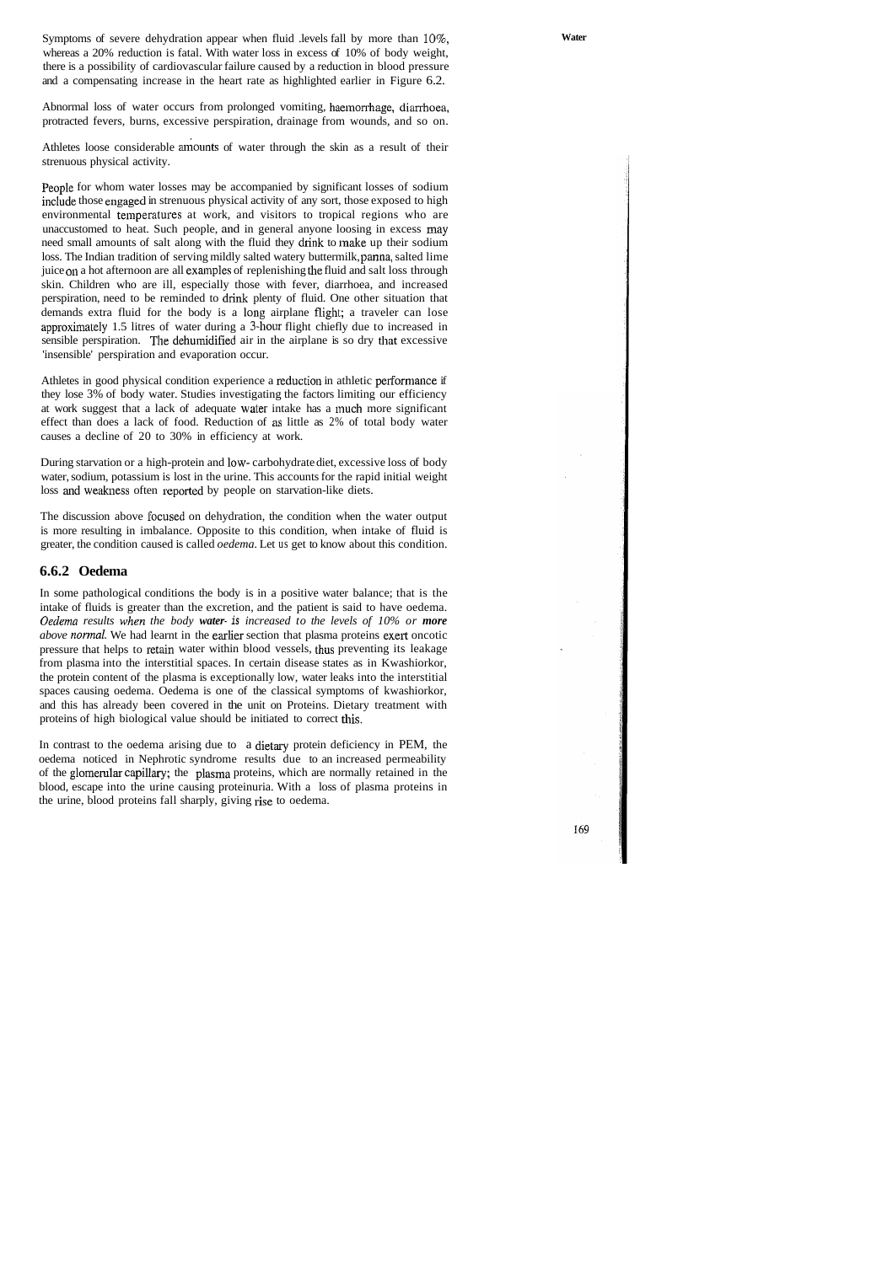Symptoms of severe dehydration appear when fluid .levels fall by more than  $10\%$ , whereas a 20% reduction is fatal. With water loss in excess of 10% of body weight, there is a possibility of cardiovascular failure caused by a reduction in blood pressure and a compensating increase in the heart rate as highlighted earlier in Figure 6.2.

Abnormal loss of water occurs from prolonged vomiting, haeinorrhage, diarrhoea, protracted fevers, burns, excessive perspiration, drainage from wounds, and so on.

Athletes loose considerable amounts of water through the skin as a result of their strenuous physical activity.

People for whom water losses may be accompanied by significant losses of sodium include those engaged in strenuous physical activity of any sort, those exposed to high environmental temperatures at work, and visitors to tropical regions who are unaccustomed to heat. Such people, and in general anyone loosing in excess may need small amounts of salt along with the fluid they drink to inake up their sodium loss. The Indian tradition of serving mildly salted watery buttermilk, panna, salted lime juice on a hot afternoon are all examples of replenishing the fluid and salt loss through skin. Children who are ill, especially those with fever, diarrhoea, and increased perspiration, need to be reminded to drink plenty of fluid. One other situation that demands extra fluid for the body is a long airplane flighl; a traveler can lose approximalely 1.5 litres of water during a 3-hour flight chiefly due to increased in sensible perspiration. The dehumidified air in the airplane is so dry that excessive 'insensible' perspiration and evaporation occur.

Athletes in good physical condition experience a reduction in athletic performance if they lose 3% of body water. Studies investigating the factors limiting our efficiency at work suggest that a lack of adequate waler intake has a much more significant effect than does a lack of food. Reduction of as little as 2% of total body water causes a decline of 20 to 30% in efficiency at work.

During starvation or a high-protein and low- carbohydrate diet, excessive loss of body water, sodium, potassium is lost in the urine. This accounts for the rapid initial weight loss and weakness often reported by people on starvation-like diets.

The discussion above focused on dehydration, the condition when the water output is more resulting in imbalance. Opposite to this condition, when intake of fluid is greater, the condition caused is called *oedema.* Let us get to know about this condition.

#### **6.6.2 Oedema**

In some pathological conditions the body is in a positive water balance; that is the intake of fluids is greater than the excretion, and the patient is said to have oedema. *Oerlema results when the body water-* **is** *increased to the levels of 10% or more above normal.* We had learnt in the earlier section that plasma proteins exert oncotic pressure that helps to retain water within blood vessels, thus preventing its leakage from plasma into the interstitial spaces. In certain disease states as in Kwashiorkor, the protein content of the plasma is exceptionally low, water leaks into the interstitial spaces causing oedema. Oedema is one of the classical symptoms of kwashiorkor, and this has already been covered in the unit on Proteins. Dietary treatment with proteins of high biological value should be initiated to correct this.

In contrast to the oedema arising due to a dietary protein deficiency in PEM, the oedema noticed in Nephrotic syndrome results due to an increased permeability of the glomerular capillary; the plasma proteins, which are normally retained in the blood, escape into the urine causing proteinuria. With a loss of plasma proteins in the urine, blood proteins fall sharply, giving rise to oedema.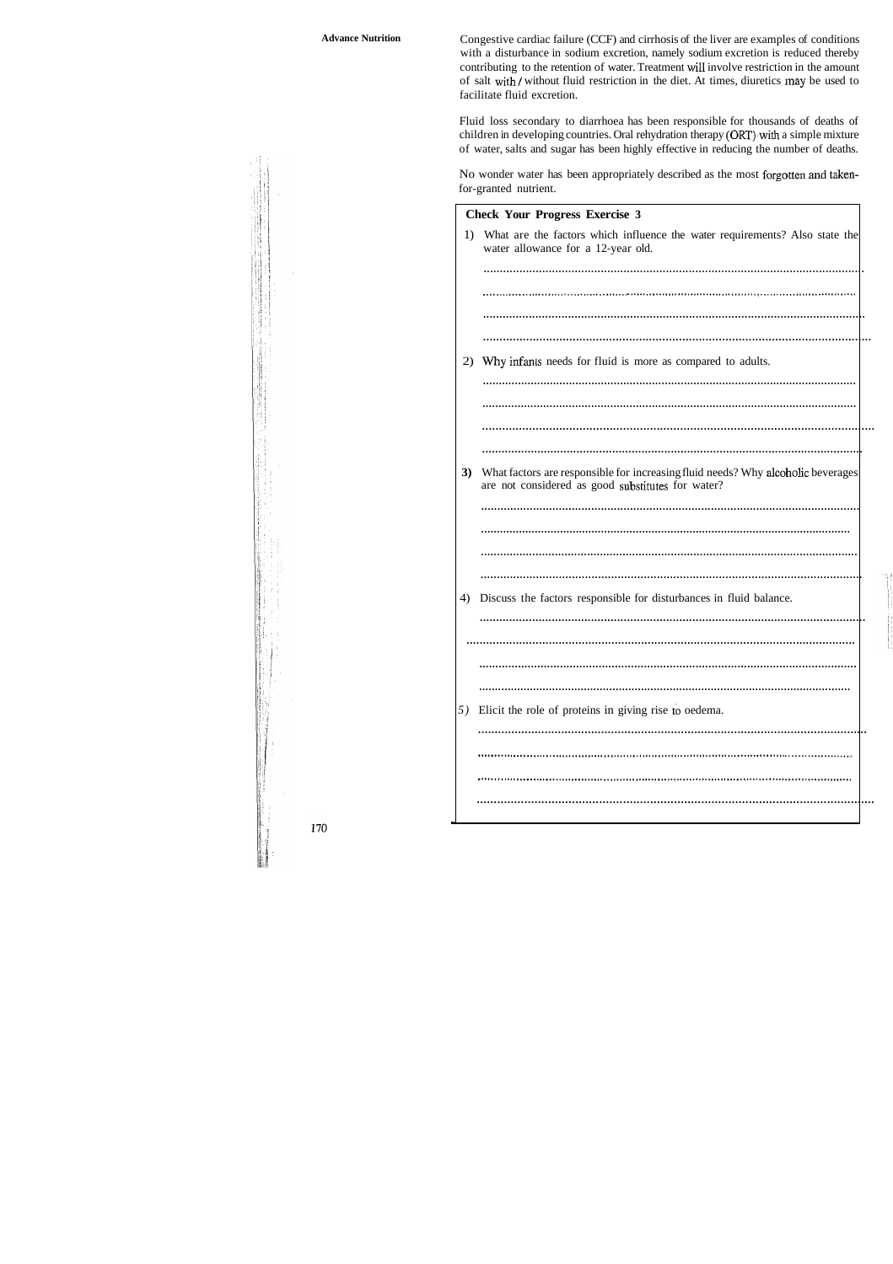Congestive cardiac failure (CCF) and cirrhosis of the liver are examples of conditions with a disturbance in sodium excretion, namely sodium excretion is reduced thereby contributing to the retention of water. Treatment will involve restriction in the amount of salt with/without fluid restriction in the diet. At times, diuretics may be used to facilitate fluid excretion.

Fluid loss secondary to diarrhoea has been responsible for thousands of deaths of children in developing countries. Oral rehydration therapy (ORT) with a simple mixture of water, salts and sugar has been highly effective in reducing the number of deaths.

No wonder water has been appropriately described as the most forgotten and takenfor-granted nutrient.

|    | <b>Check Your Progress Exercise 3</b>                                                                                                 |  |
|----|---------------------------------------------------------------------------------------------------------------------------------------|--|
| 1) | What are the factors which influence the water requirements? Also state the<br>water allowance for a 12-year old.                     |  |
|    |                                                                                                                                       |  |
|    |                                                                                                                                       |  |
|    |                                                                                                                                       |  |
|    |                                                                                                                                       |  |
| 2) | Why infants needs for fluid is more as compared to adults.                                                                            |  |
|    |                                                                                                                                       |  |
|    |                                                                                                                                       |  |
|    |                                                                                                                                       |  |
|    |                                                                                                                                       |  |
| 3) | What factors are responsible for increasing fluid needs? Why alcoholic beverages<br>are not considered as good substitutes for water? |  |
|    |                                                                                                                                       |  |
|    |                                                                                                                                       |  |
|    |                                                                                                                                       |  |
|    |                                                                                                                                       |  |
| 4) | Discuss the factors responsible for disturbances in fluid balance.                                                                    |  |
|    |                                                                                                                                       |  |
|    |                                                                                                                                       |  |
|    |                                                                                                                                       |  |
|    |                                                                                                                                       |  |
| 5) | Elicit the role of proteins in giving rise to oedema.                                                                                 |  |
|    |                                                                                                                                       |  |
|    |                                                                                                                                       |  |
|    |                                                                                                                                       |  |
|    |                                                                                                                                       |  |
|    |                                                                                                                                       |  |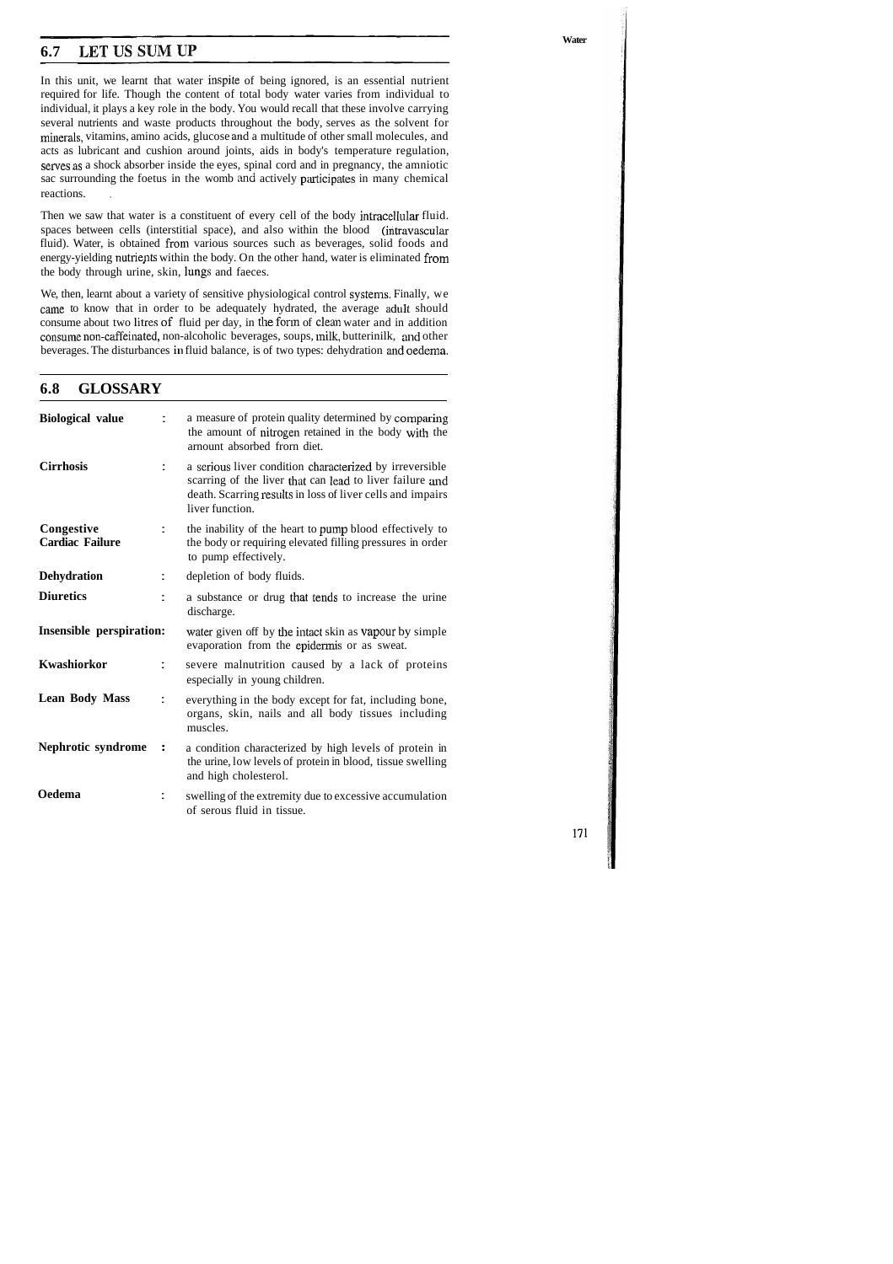## **6.7 LETUSSUMUP**

In this unit, we learnt that water inspite of being ignored, is an essential nutrient required for life. Though the content of total body water varies from individual to individual, it plays a key role in the body. You would recall that these involve carrying several nutrients and waste products throughout the body, serves as the solvent for minerals, vitamins, amino acids, glucose and a multitude of other small molecules, and acts as lubricant and cushion around joints, aids in body's temperature regulation, serves as a shock absorber inside the eyes, spinal cord and in pregnancy, the amniotic sac surrounding the foetus in the womb and actively pxticipates in many chemical reactions.

Then we saw that water is a constituent of every cell of the body intracellular fluid. spaces between cells (interstitial space), and also within the blood (intravascular fluid). Water, is obtained from various sources such as beverages, solid foods and energy-yielding nutrients within the body. On the other hand, water is eliminated from the body through urine, skin, lungs and faeces.

We, then, learnt about a variety of sensitive physiological control systems. Finally, we caine to know that in order to be adequately hydrated, the average adult should consume about two litres of fluid per day, in the form of clean water and in addition consume non-caffeinated, non-alcoholic beverages, soups, milk, butterinilk, and other beverages. The disturbances in fluid balance, is of two types: dehydration and oedema.

## **6.8 GLOSSARY**

| <b>Biological value</b>              |                  | a measure of protein quality determined by comparing<br>the amount of nitrogen retained in the body with the<br>arnount absorbed from diet.                                                          |
|--------------------------------------|------------------|------------------------------------------------------------------------------------------------------------------------------------------------------------------------------------------------------|
| <b>Cirrhosis</b>                     |                  | a serious liver condition characterized by irreversible<br>scarring of the liver that can lead to liver failure and<br>death. Scarring results in loss of liver cells and impairs<br>liver function. |
| Congestive<br><b>Cardiac Failure</b> |                  | the inability of the heart to pump blood effectively to<br>the body or requiring elevated filling pressures in order<br>to pump effectively.                                                         |
| <b>Dehydration</b>                   |                  | depletion of body fluids.                                                                                                                                                                            |
| <b>Diuretics</b>                     |                  | a substance or drug that tends to increase the urine<br>discharge.                                                                                                                                   |
| Insensible perspiration:             |                  | water given off by the intact skin as vapour by simple<br>evaporation from the epidermis or as sweat.                                                                                                |
| Kwashiorkor                          |                  | severe malnutrition caused by a lack of proteins<br>especially in young children.                                                                                                                    |
| <b>Lean Body Mass</b>                | t                | everything in the body except for fat, including bone,<br>organs, skin, nails and all body tissues including<br>muscles.                                                                             |
| Nephrotic syndrome                   | $\ddot{\bullet}$ | a condition characterized by high levels of protein in<br>the urine, low levels of protein in blood, tissue swelling<br>and high cholesterol.                                                        |
| Oedema                               |                  | swelling of the extremity due to excessive accumulation<br>of serous fluid in tissue.                                                                                                                |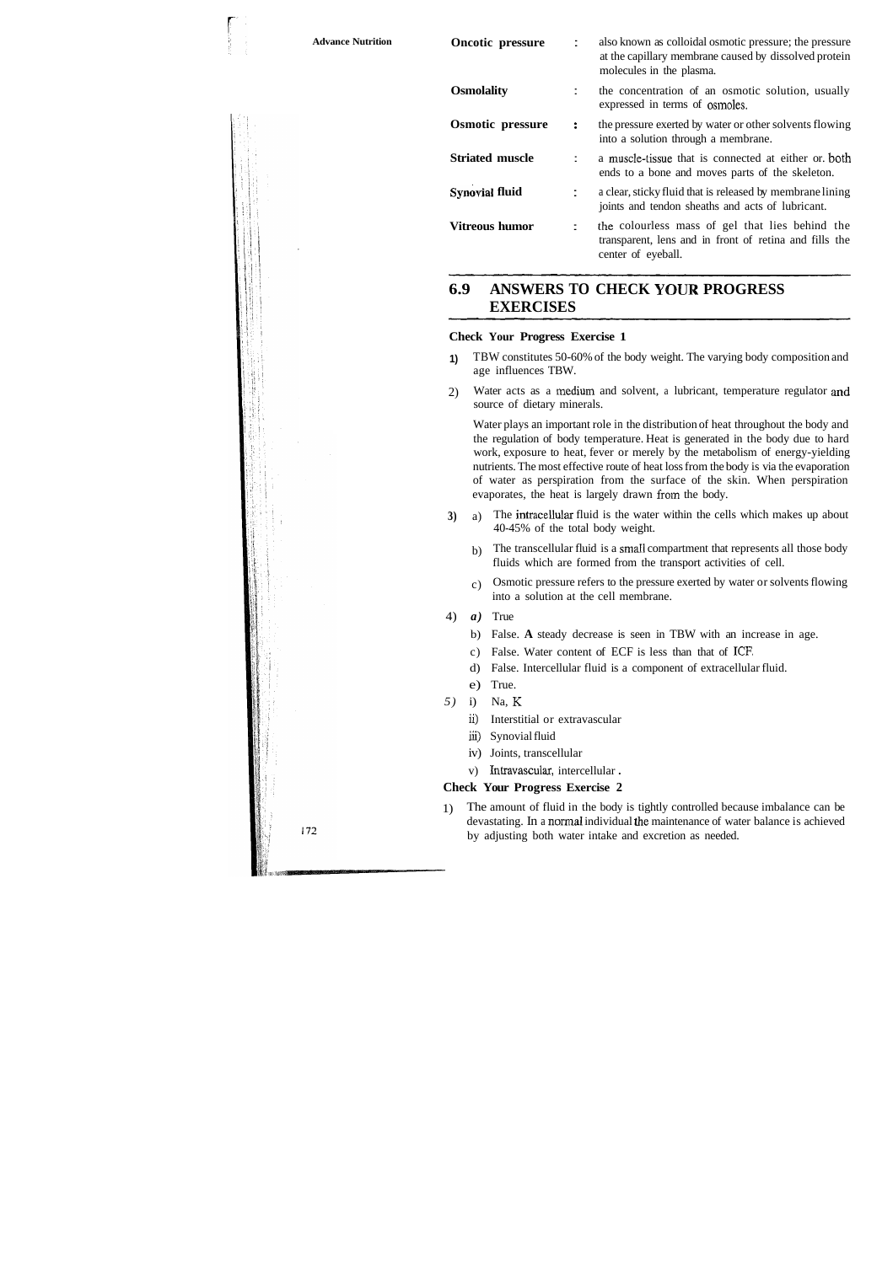| <b>Advance Nutrition</b> | <b>Oncotic pressure</b> |    | also known as colloidal osmotic pressure; the pressure<br>at the capillary membrane caused by dissolved protein<br>molecules in the plasma. |
|--------------------------|-------------------------|----|---------------------------------------------------------------------------------------------------------------------------------------------|
|                          | <b>Osmolality</b>       |    | the concentration of an osmotic solution, usually<br>expressed in terms of osmoles.                                                         |
|                          | <b>Osmotic pressure</b> | ÷  | the pressure exerted by water or other solvents flowing<br>into a solution through a membrane.                                              |
|                          | <b>Striated muscle</b>  |    | a muscle-tissue that is connected at either or both<br>ends to a bone and moves parts of the skeleton.                                      |
|                          | <b>Synovial fluid</b>   |    | a clear, sticky fluid that is released by membrane lining<br>joints and tendon sheaths and acts of lubricant.                               |
|                          | <b>Vitreous humor</b>   | Ξ. | the colourless mass of gel that lies behind the<br>transparent, lens and in front of retina and fills the<br>center of eyeball.             |

## **6.9 ANSWERS TO CHECK YOUR PROGRESS EXERCISES**

#### **Check Your Progress Exercise 1**

- **1)** TBW constitutes 50-60% of the body weight. The varying body composition and age influences TBW.
- 2) Water acts as a medium and solvent, a lubricant, temperature regulator and source of dietary minerals.

Water plays an important role in the distribution of heat throughout the body and the regulation of body temperature. Heat is generated in the body due to hard work, exposure to heat, fever or merely by the metabolism of energy-yielding nutrients. The most effective route of heat loss from the body is via the evaporation of water as perspiration from the surface of the skin. When perspiration evaporates, the heat is largely drawn from the body.

- **3)** a) The intracellular fluid is the water within the cells which makes up about 40-45% of the total body weight.
	- b) The transcellular fluid is a small compartment that represents all those body fluids which are formed from the transport activities of cell.
	- c) Osmotic pressure refers to the pressure exerted by water or solvents flowing into a solution at the cell membrane.
- 4) *a)* True
	- b) False. **A** steady decrease is seen in TBW with an increase in age.
	- c) False. Water content of ECF is less than that of **ICE**
	- d) False. Intercellular fluid is a component of extracellular fluid.
	- e) True.
- *5)* i) Na, K
	- ii) Interstitial or extravascular
	- **iii)** Synovial fluid
	- iv) Joints, transcellular
	- v) Intravascular, intercellular .

#### **Check Your Progress Exercise 2**

1) The amount of fluid in the body is tightly controlled because imbalance can be devastating. In a normal individual the maintenance of water balance is achieved by adjusting both water intake and excretion as needed.